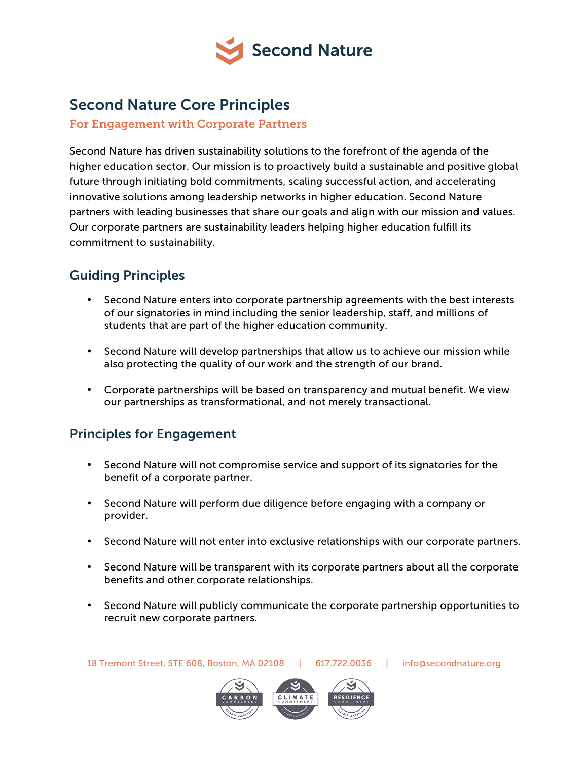

## Second Nature Core Principles

For Engagement with Corporate Partners

Second Nature has driven sustainability solutions to the forefront of the agenda of the higher education sector. Our mission is to proactively build a sustainable and positive global future through initiating bold commitments, scaling successful action, and accelerating innovative solutions among leadership networks in higher education. Second Nature partners with leading businesses that share our goals and align with our mission and values. Our corporate partners are sustainability leaders helping higher education fulfill its commitment to sustainability.

## Guiding Principles

- Second Nature enters into corporate partnership agreements with the best interests of our signatories in mind including the senior leadership, staff, and millions of students that are part of the higher education community.
- Second Nature will develop partnerships that allow us to achieve our mission while also protecting the quality of our work and the strength of our brand.
- Corporate partnerships will be based on transparency and mutual benefit. We view our partnerships as transformational, and not merely transactional.

## Principles for Engagement

- Second Nature will not compromise service and support of its signatories for the benefit of a corporate partner.
- Second Nature will perform due diligence before engaging with a company or provider.
- Second Nature will not enter into exclusive relationships with our corporate partners.
- Second Nature will be transparent with its corporate partners about all the corporate benefits and other corporate relationships.
- Second Nature will publicly communicate the corporate partnership opportunities to recruit new corporate partners.



18 Tremont Street, STE 608, Boston, MA 02108 | 617.722.0036 | [info@secondnature.org](mailto:info@secondnature.org)